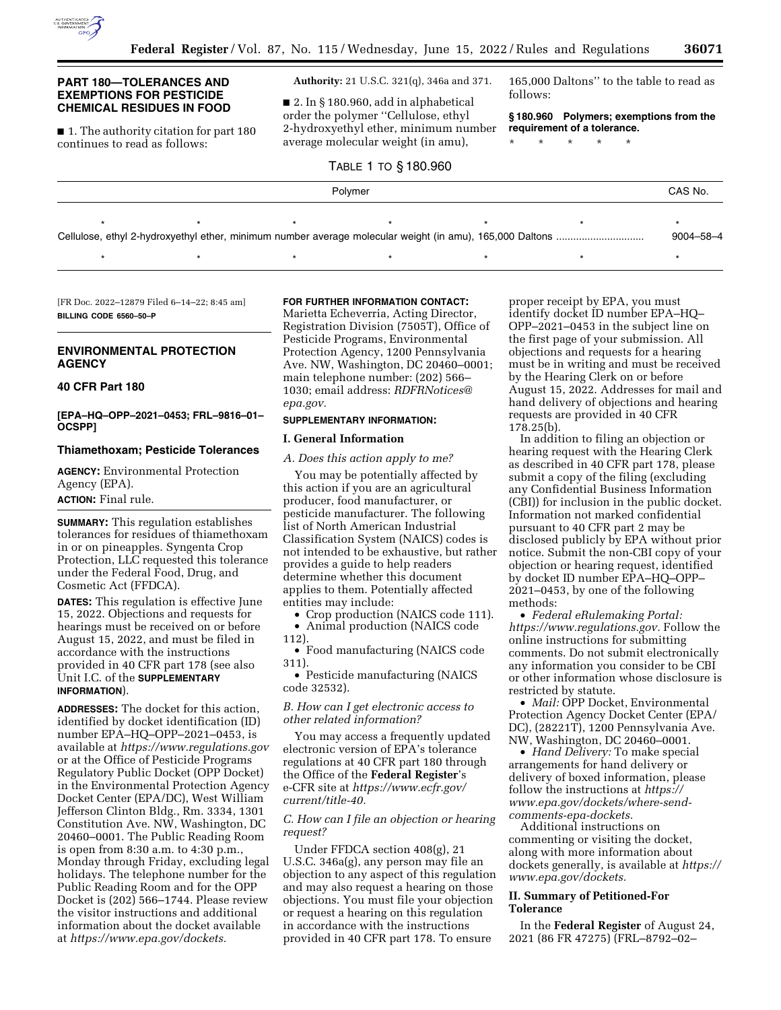

### **PART 180—TOLERANCES AND EXEMPTIONS FOR PESTICIDE CHEMICAL RESIDUES IN FOOD**

■ 1. The authority citation for part 180 continues to read as follows:

**Authority:** 21 U.S.C. 321(q), 346a and 371.

■ 2. In § 180.960, add in alphabetical order the polymer ''Cellulose, ethyl 2-hydroxyethyl ether, minimum number average molecular weight (in amu),

# TABLE 1 TO § 180.960

165,000 Daltons'' to the table to read as follows:

**§ 180.960 Polymers; exemptions from the requirement of a tolerance.** 

\* \* \* \* \*

|         |  |  | 1100.000 |  |  |  |  |
|---------|--|--|----------|--|--|--|--|
| Polymer |  |  |          |  |  |  |  |
|         |  |  |          |  |  |  |  |
|         |  |  |          |  |  |  |  |
|         |  |  |          |  |  |  |  |

[FR Doc. 2022–12879 Filed 6–14–22; 8:45 am] **BILLING CODE 6560–50–P** 

## **ENVIRONMENTAL PROTECTION AGENCY**

## **40 CFR Part 180**

### **[EPA–HQ–OPP–2021–0453; FRL–9816–01– OCSPP]**

#### **Thiamethoxam; Pesticide Tolerances**

**AGENCY:** Environmental Protection Agency (EPA). **ACTION:** Final rule.

**SUMMARY:** This regulation establishes tolerances for residues of thiamethoxam in or on pineapples. Syngenta Crop Protection, LLC requested this tolerance under the Federal Food, Drug, and Cosmetic Act (FFDCA).

**DATES:** This regulation is effective June 15, 2022. Objections and requests for hearings must be received on or before August 15, 2022, and must be filed in accordance with the instructions provided in 40 CFR part 178 (see also Unit I.C. of the **SUPPLEMENTARY INFORMATION**).

**ADDRESSES:** The docket for this action, identified by docket identification (ID) number EPA–HQ–OPP–2021–0453, is available at *<https://www.regulations.gov>* or at the Office of Pesticide Programs Regulatory Public Docket (OPP Docket) in the Environmental Protection Agency Docket Center (EPA/DC), West William Jefferson Clinton Bldg., Rm. 3334, 1301 Constitution Ave. NW, Washington, DC 20460–0001. The Public Reading Room is open from 8:30 a.m. to 4:30 p.m., Monday through Friday, excluding legal holidays. The telephone number for the Public Reading Room and for the OPP Docket is (202) 566–1744. Please review the visitor instructions and additional information about the docket available at *[https://www.epa.gov/dockets.](https://www.epa.gov/dockets)* 

## **FOR FURTHER INFORMATION CONTACT:**

Marietta Echeverria, Acting Director, Registration Division (7505T), Office of Pesticide Programs, Environmental Protection Agency, 1200 Pennsylvania Ave. NW, Washington, DC 20460–0001; main telephone number: (202) 566– 1030; email address: *[RDFRNotices@](mailto:RDFRNotices@epa.gov) [epa.gov.](mailto:RDFRNotices@epa.gov)* 

## **SUPPLEMENTARY INFORMATION:**

### **I. General Information**

# *A. Does this action apply to me?*

You may be potentially affected by this action if you are an agricultural producer, food manufacturer, or pesticide manufacturer. The following list of North American Industrial Classification System (NAICS) codes is not intended to be exhaustive, but rather provides a guide to help readers determine whether this document applies to them. Potentially affected entities may include:

• Crop production (NAICS code 111).

• Animal production (NAICS code 112).

• Food manufacturing (NAICS code 311).

• Pesticide manufacturing (NAICS code 32532).

*B. How can I get electronic access to other related information?* 

You may access a frequently updated electronic version of EPA's tolerance regulations at 40 CFR part 180 through the Office of the **Federal Register**'s e-CFR site at *[https://www.ecfr.gov/](https://www.ecfr.gov/current/title-40)  [current/title-40.](https://www.ecfr.gov/current/title-40)* 

#### *C. How can I file an objection or hearing request?*

Under FFDCA section 408(g), 21 U.S.C. 346a(g), any person may file an objection to any aspect of this regulation and may also request a hearing on those objections. You must file your objection or request a hearing on this regulation in accordance with the instructions provided in 40 CFR part 178. To ensure

proper receipt by EPA, you must identify docket ID number EPA–HQ– OPP–2021–0453 in the subject line on the first page of your submission. All objections and requests for a hearing must be in writing and must be received by the Hearing Clerk on or before August 15, 2022. Addresses for mail and hand delivery of objections and hearing requests are provided in 40 CFR 178.25(b).

In addition to filing an objection or hearing request with the Hearing Clerk as described in 40 CFR part 178, please submit a copy of the filing (excluding any Confidential Business Information (CBI)) for inclusion in the public docket. Information not marked confidential pursuant to 40 CFR part 2 may be disclosed publicly by EPA without prior notice. Submit the non-CBI copy of your objection or hearing request, identified by docket ID number EPA–HQ–OPP– 2021–0453, by one of the following methods:

• *Federal eRulemaking Portal: [https://www.regulations.gov.](https://www.regulations.gov)* Follow the online instructions for submitting comments. Do not submit electronically any information you consider to be CBI or other information whose disclosure is restricted by statute.

• *Mail:* OPP Docket, Environmental Protection Agency Docket Center (EPA/ DC), (28221T), 1200 Pennsylvania Ave. NW, Washington, DC 20460–0001.

• *Hand Delivery:* To make special arrangements for hand delivery or delivery of boxed information, please follow the instructions at *[https://](https://www.epa.gov/dockets/where-send-comments-epa-dockets) [www.epa.gov/dockets/where-send](https://www.epa.gov/dockets/where-send-comments-epa-dockets)[comments-epa-dockets.](https://www.epa.gov/dockets/where-send-comments-epa-dockets)* 

Additional instructions on commenting or visiting the docket, along with more information about dockets generally, is available at *[https://](https://www.epa.gov/dockets) [www.epa.gov/dockets.](https://www.epa.gov/dockets)* 

## **II. Summary of Petitioned-For Tolerance**

In the **Federal Register** of August 24, 2021 (86 FR 47275) (FRL–8792–02–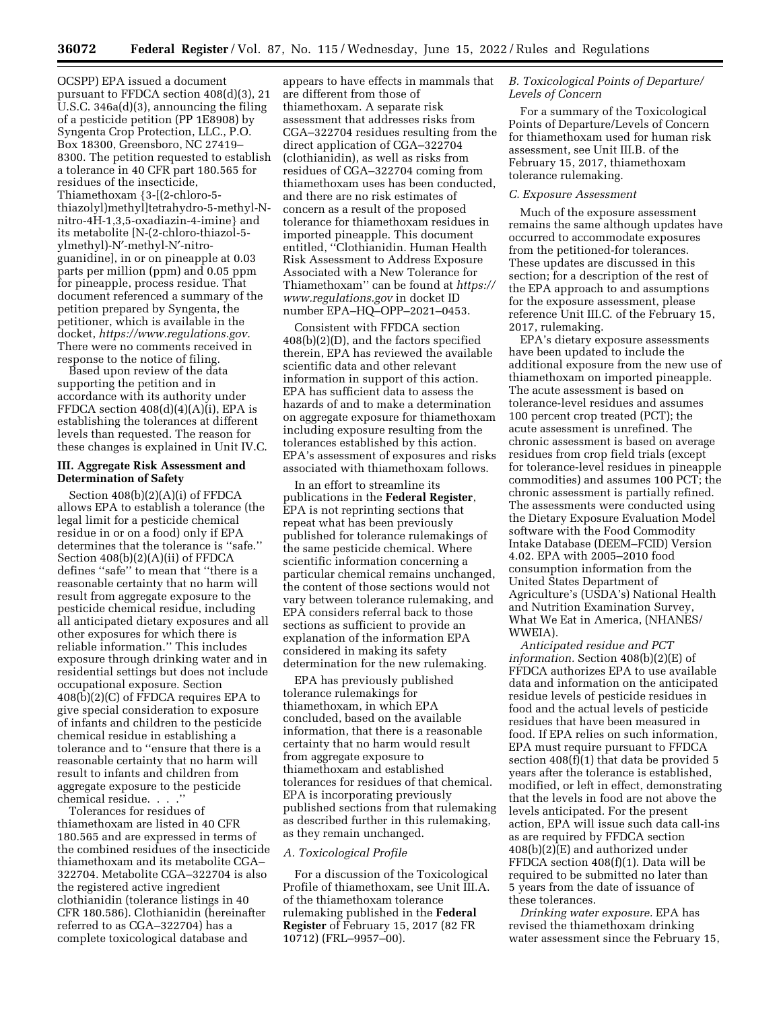OCSPP) EPA issued a document pursuant to FFDCA section 408(d)(3), 21 U.S.C. 346a(d)(3), announcing the filing of a pesticide petition (PP 1E8908) by Syngenta Crop Protection, LLC., P.O. Box 18300, Greensboro, NC 27419– 8300. The petition requested to establish a tolerance in 40 CFR part 180.565 for residues of the insecticide, Thiamethoxam {3-[(2-chloro-5 thiazolyl)methyl]tetrahydro-5-methyl-Nnitro-4H-1,3,5-oxadiazin-4-imine} and its metabolite [N-(2-chloro-thiazol-5 ylmethyl)-N′-methyl-N′-nitroguanidine], in or on pineapple at 0.03 parts per million (ppm) and 0.05 ppm for pineapple, process residue. That document referenced a summary of the petition prepared by Syngenta, the petitioner, which is available in the docket, *[https://www.regulations.gov.](https://www.regulations.gov)*  There were no comments received in response to the notice of filing.

Based upon review of the data supporting the petition and in accordance with its authority under FFDCA section 408(d)(4)(A)(i), EPA is establishing the tolerances at different levels than requested. The reason for these changes is explained in Unit IV.C.

#### **III. Aggregate Risk Assessment and Determination of Safety**

Section 408(b)(2)(A)(i) of FFDCA allows EPA to establish a tolerance (the legal limit for a pesticide chemical residue in or on a food) only if EPA determines that the tolerance is ''safe.'' Section 408(b)(2)(A)(ii) of FFDCA defines ''safe'' to mean that ''there is a reasonable certainty that no harm will result from aggregate exposure to the pesticide chemical residue, including all anticipated dietary exposures and all other exposures for which there is reliable information.'' This includes exposure through drinking water and in residential settings but does not include occupational exposure. Section 408(b)(2)(C) of FFDCA requires EPA to give special consideration to exposure of infants and children to the pesticide chemical residue in establishing a tolerance and to ''ensure that there is a reasonable certainty that no harm will result to infants and children from aggregate exposure to the pesticide chemical residue. . . .''

Tolerances for residues of thiamethoxam are listed in 40 CFR 180.565 and are expressed in terms of the combined residues of the insecticide thiamethoxam and its metabolite CGA– 322704. Metabolite CGA–322704 is also the registered active ingredient clothianidin (tolerance listings in 40 CFR 180.586). Clothianidin (hereinafter referred to as CGA–322704) has a complete toxicological database and

appears to have effects in mammals that are different from those of thiamethoxam. A separate risk assessment that addresses risks from CGA–322704 residues resulting from the direct application of CGA–322704 (clothianidin), as well as risks from residues of CGA–322704 coming from thiamethoxam uses has been conducted, and there are no risk estimates of concern as a result of the proposed tolerance for thiamethoxam residues in imported pineapple. This document entitled, ''Clothianidin. Human Health Risk Assessment to Address Exposure Associated with a New Tolerance for Thiamethoxam'' can be found at *[https://](https://www.regulations.gov) [www.regulations.gov](https://www.regulations.gov)* in docket ID number EPA–HQ–OPP–2021–0453.

Consistent with FFDCA section 408(b)(2)(D), and the factors specified therein, EPA has reviewed the available scientific data and other relevant information in support of this action. EPA has sufficient data to assess the hazards of and to make a determination on aggregate exposure for thiamethoxam including exposure resulting from the tolerances established by this action. EPA's assessment of exposures and risks associated with thiamethoxam follows.

In an effort to streamline its publications in the **Federal Register**, EPA is not reprinting sections that repeat what has been previously published for tolerance rulemakings of the same pesticide chemical. Where scientific information concerning a particular chemical remains unchanged, the content of those sections would not vary between tolerance rulemaking, and EPA considers referral back to those sections as sufficient to provide an explanation of the information EPA considered in making its safety determination for the new rulemaking.

EPA has previously published tolerance rulemakings for thiamethoxam, in which EPA concluded, based on the available information, that there is a reasonable certainty that no harm would result from aggregate exposure to thiamethoxam and established tolerances for residues of that chemical. EPA is incorporating previously published sections from that rulemaking as described further in this rulemaking, as they remain unchanged.

### *A. Toxicological Profile*

For a discussion of the Toxicological Profile of thiamethoxam, see Unit III.A. of the thiamethoxam tolerance rulemaking published in the **Federal Register** of February 15, 2017 (82 FR 10712) (FRL–9957–00).

### *B. Toxicological Points of Departure/ Levels of Concern*

For a summary of the Toxicological Points of Departure/Levels of Concern for thiamethoxam used for human risk assessment, see Unit III.B. of the February 15, 2017, thiamethoxam tolerance rulemaking.

### *C. Exposure Assessment*

Much of the exposure assessment remains the same although updates have occurred to accommodate exposures from the petitioned-for tolerances. These updates are discussed in this section; for a description of the rest of the EPA approach to and assumptions for the exposure assessment, please reference Unit III.C. of the February 15, 2017, rulemaking.

EPA's dietary exposure assessments have been updated to include the additional exposure from the new use of thiamethoxam on imported pineapple. The acute assessment is based on tolerance-level residues and assumes 100 percent crop treated (PCT); the acute assessment is unrefined. The chronic assessment is based on average residues from crop field trials (except for tolerance-level residues in pineapple commodities) and assumes 100 PCT; the chronic assessment is partially refined. The assessments were conducted using the Dietary Exposure Evaluation Model software with the Food Commodity Intake Database (DEEM–FCID) Version 4.02. EPA with 2005–2010 food consumption information from the United States Department of Agriculture's (USDA's) National Health and Nutrition Examination Survey, What We Eat in America, (NHANES/ WWEIA).

*Anticipated residue and PCT information.* Section 408(b)(2)(E) of FFDCA authorizes EPA to use available data and information on the anticipated residue levels of pesticide residues in food and the actual levels of pesticide residues that have been measured in food. If EPA relies on such information, EPA must require pursuant to FFDCA section 408(f)(1) that data be provided 5 years after the tolerance is established, modified, or left in effect, demonstrating that the levels in food are not above the levels anticipated. For the present action, EPA will issue such data call-ins as are required by FFDCA section 408(b)(2)(E) and authorized under FFDCA section 408(f)(1). Data will be required to be submitted no later than 5 years from the date of issuance of these tolerances.

*Drinking water exposure.* EPA has revised the thiamethoxam drinking water assessment since the February 15,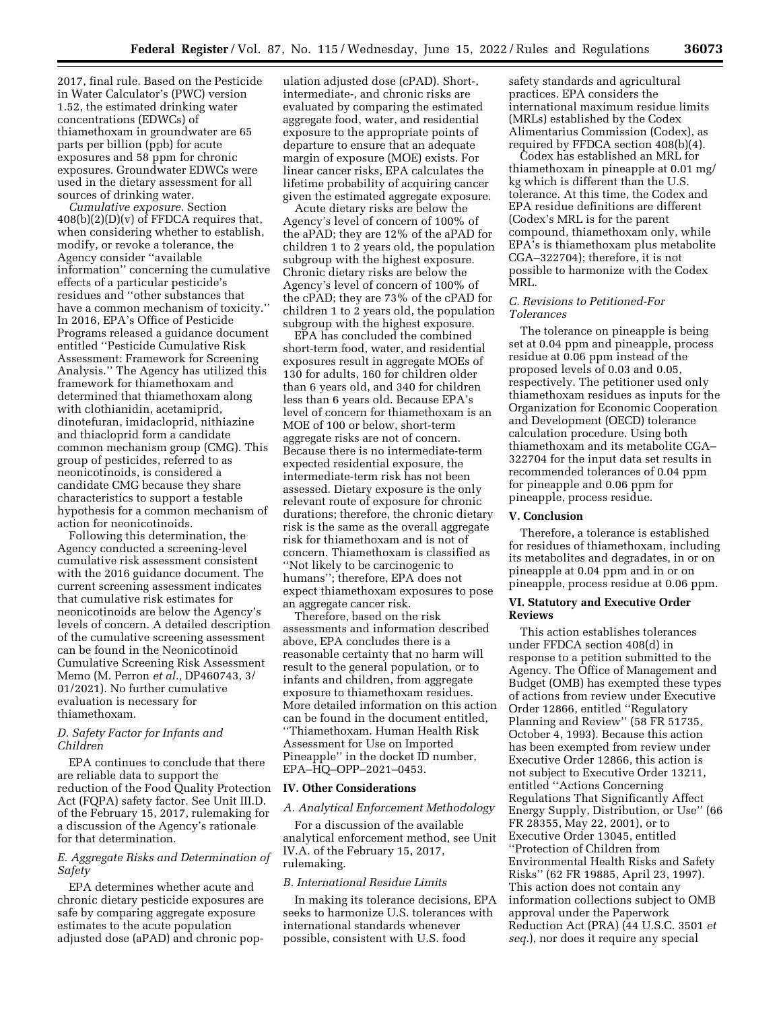2017, final rule. Based on the Pesticide in Water Calculator's (PWC) version 1.52, the estimated drinking water concentrations (EDWCs) of thiamethoxam in groundwater are 65 parts per billion (ppb) for acute exposures and 58 ppm for chronic exposures. Groundwater EDWCs were used in the dietary assessment for all sources of drinking water.

*Cumulative exposure.* Section  $408(b)(2)(D)(v)$  of FFDCA requires that, when considering whether to establish, modify, or revoke a tolerance, the Agency consider ''available information'' concerning the cumulative effects of a particular pesticide's residues and ''other substances that have a common mechanism of toxicity.'' In 2016, EPA's Office of Pesticide Programs released a guidance document entitled ''Pesticide Cumulative Risk Assessment: Framework for Screening Analysis.'' The Agency has utilized this framework for thiamethoxam and determined that thiamethoxam along with clothianidin, acetamiprid, dinotefuran, imidacloprid, nithiazine and thiacloprid form a candidate common mechanism group (CMG). This group of pesticides, referred to as neonicotinoids, is considered a candidate CMG because they share characteristics to support a testable hypothesis for a common mechanism of action for neonicotinoids.

Following this determination, the Agency conducted a screening-level cumulative risk assessment consistent with the 2016 guidance document. The current screening assessment indicates that cumulative risk estimates for neonicotinoids are below the Agency's levels of concern. A detailed description of the cumulative screening assessment can be found in the Neonicotinoid Cumulative Screening Risk Assessment Memo (M. Perron *et al.,* DP460743, 3/ 01/2021). No further cumulative evaluation is necessary for thiamethoxam.

#### *D. Safety Factor for Infants and Children*

EPA continues to conclude that there are reliable data to support the reduction of the Food Quality Protection Act (FQPA) safety factor. See Unit III.D. of the February 15, 2017, rulemaking for a discussion of the Agency's rationale for that determination.

### *E. Aggregate Risks and Determination of Safety*

EPA determines whether acute and chronic dietary pesticide exposures are safe by comparing aggregate exposure estimates to the acute population adjusted dose (aPAD) and chronic pop-

ulation adjusted dose (cPAD). Short-, intermediate-, and chronic risks are evaluated by comparing the estimated aggregate food, water, and residential exposure to the appropriate points of departure to ensure that an adequate margin of exposure (MOE) exists. For linear cancer risks, EPA calculates the lifetime probability of acquiring cancer given the estimated aggregate exposure.

Acute dietary risks are below the Agency's level of concern of 100% of the aPAD; they are 12% of the aPAD for children 1 to 2 years old, the population subgroup with the highest exposure. Chronic dietary risks are below the Agency's level of concern of 100% of the cPAD; they are 73% of the cPAD for children 1 to 2 years old, the population subgroup with the highest exposure.

EPA has concluded the combined short-term food, water, and residential exposures result in aggregate MOEs of 130 for adults, 160 for children older than 6 years old, and 340 for children less than 6 years old. Because EPA's level of concern for thiamethoxam is an MOE of 100 or below, short-term aggregate risks are not of concern. Because there is no intermediate-term expected residential exposure, the intermediate-term risk has not been assessed. Dietary exposure is the only relevant route of exposure for chronic durations; therefore, the chronic dietary risk is the same as the overall aggregate risk for thiamethoxam and is not of concern. Thiamethoxam is classified as ''Not likely to be carcinogenic to humans''; therefore, EPA does not expect thiamethoxam exposures to pose an aggregate cancer risk.

Therefore, based on the risk assessments and information described above, EPA concludes there is a reasonable certainty that no harm will result to the general population, or to infants and children, from aggregate exposure to thiamethoxam residues. More detailed information on this action can be found in the document entitled, ''Thiamethoxam. Human Health Risk Assessment for Use on Imported Pineapple'' in the docket ID number, EPA–HQ–OPP–2021–0453.

#### **IV. Other Considerations**

#### *A. Analytical Enforcement Methodology*

For a discussion of the available analytical enforcement method, see Unit IV.A. of the February 15, 2017, rulemaking.

#### *B. International Residue Limits*

In making its tolerance decisions, EPA seeks to harmonize U.S. tolerances with international standards whenever possible, consistent with U.S. food

safety standards and agricultural practices. EPA considers the international maximum residue limits (MRLs) established by the Codex Alimentarius Commission (Codex), as required by FFDCA section 408(b)(4).

Codex has established an MRL for thiamethoxam in pineapple at 0.01 mg/ kg which is different than the U.S. tolerance. At this time, the Codex and EPA residue definitions are different (Codex's MRL is for the parent compound, thiamethoxam only, while EPA's is thiamethoxam plus metabolite CGA–322704); therefore, it is not possible to harmonize with the Codex MRL.

### *C. Revisions to Petitioned-For Tolerances*

The tolerance on pineapple is being set at 0.04 ppm and pineapple, process residue at 0.06 ppm instead of the proposed levels of 0.03 and 0.05, respectively. The petitioner used only thiamethoxam residues as inputs for the Organization for Economic Cooperation and Development (OECD) tolerance calculation procedure. Using both thiamethoxam and its metabolite CGA– 322704 for the input data set results in recommended tolerances of 0.04 ppm for pineapple and 0.06 ppm for pineapple, process residue.

### **V. Conclusion**

Therefore, a tolerance is established for residues of thiamethoxam, including its metabolites and degradates, in or on pineapple at 0.04 ppm and in or on pineapple, process residue at 0.06 ppm.

#### **VI. Statutory and Executive Order Reviews**

This action establishes tolerances under FFDCA section 408(d) in response to a petition submitted to the Agency. The Office of Management and Budget (OMB) has exempted these types of actions from review under Executive Order 12866, entitled ''Regulatory Planning and Review'' (58 FR 51735, October 4, 1993). Because this action has been exempted from review under Executive Order 12866, this action is not subject to Executive Order 13211, entitled ''Actions Concerning Regulations That Significantly Affect Energy Supply, Distribution, or Use'' (66 FR 28355, May 22, 2001), or to Executive Order 13045, entitled ''Protection of Children from Environmental Health Risks and Safety Risks'' (62 FR 19885, April 23, 1997). This action does not contain any information collections subject to OMB approval under the Paperwork Reduction Act (PRA) (44 U.S.C. 3501 *et seq.*), nor does it require any special